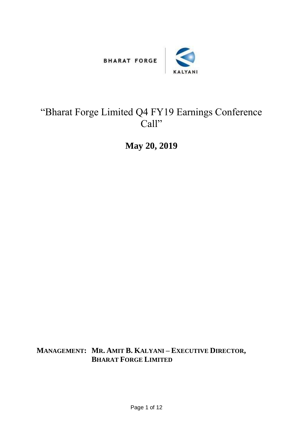



## "Bharat Forge Limited Q4 FY19 Earnings Conference Call"

**May 20, 2019**

**MANAGEMENT: MR. AMIT B. KALYANI – EXECUTIVE DIRECTOR, BHARAT FORGE LIMITED**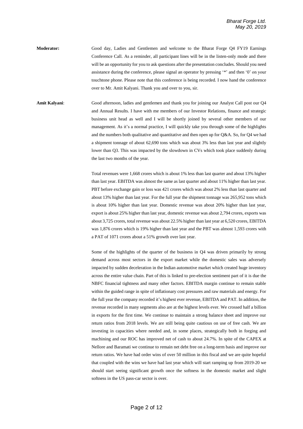**Moderator:** Good day, Ladies and Gentlemen and welcome to the Bharat Forge Q4 FY19 Earnings Conference Call. As a reminder, all participant lines will be in the listen-only mode and there will be an opportunity for you to ask questions after the presentation concludes. Should you need assistance during the conference, please signal an operator by pressing '\*' and then '0' on your touchtone phone. Please note that this conference is being recorded. I now hand the conference over to Mr. Amit Kalyani. Thank you and over to you, sir.

**Amit Kalyani**: Good afternoon, ladies and gentlemen and thank you for joining our Analyst Call post our Q4 and Annual Results. I have with me members of our Investor Relations, finance and strategic business unit head as well and I will be shortly joined by several other members of our management. As it's a normal practice, I will quickly take you through some of the highlights and the numbers both qualitative and quantitative and then open up for Q&A. So, for Q4 we had a shipment tonnage of about 62,690 tons which was about 3% less than last year and slightly lower than Q3. This was impacted by the slowdown in CVs which took place suddenly during the last two months of the year.

> Total revenues were 1,668 crores which is about 1% less than last quarter and about 13% higher than last year. EBITDA was almost the same as last quarter and about 11% higher than last year. PBT before exchange gain or loss was 421 crores which was about 2% less than last quarter and about 13% higher than last year. For the full year the shipment tonnage was 265,952 tons which is about 10% higher than last year. Domestic revenue was about 20% higher than last year, export is about 25% higher than last year, domestic revenue was about 2,794 crores, exports was about 3,725 crores, total revenue was about 22.5% higher than last year at 6,520 crores, EBITDA was 1,876 crores which is 19% higher than last year and the PBT was almost 1,593 crores with a PAT of 1071 crores about a 51% growth over last year.

> Some of the highlights of the quarter of the business in Q4 was driven primarily by strong demand across most sectors in the export market while the domestic sales was adversely impacted by sudden deceleration in the Indian automotive market which created huge inventory across the entire value chain. Part of this is linked to pre-election sentiment part of it is due the NBFC financial tightness and many other factors. EBITDA margin continue to remain stable within the guided range in spite of inflationary cost pressures and raw materials and energy. For the full year the company recorded it's highest ever revenue, EBITDA and PAT. In addition, the revenue recorded in many segments also are at the highest levels ever. We crossed half a billion in exports for the first time. We continue to maintain a strong balance sheet and improve our return ratios from 2018 levels. We are still being quite cautious on use of free cash. We are investing in capacities where needed and, in some places, strategically both in forging and machining and our ROC has improved net of cash to about 24.7%. In spite of the CAPEX at Nellore and Baramati we continue to remain net debt free on a long-term basis and improve our return ratios. We have had order wins of over 50 million in this fiscal and we are quite hopeful that coupled with the wins we have had last year which will start ramping up from 2019-20 we should start seeing significant growth once the softness in the domestic market and slight softness in the US pass-car sector is over.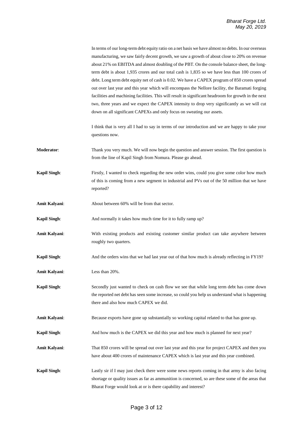|                     | In terms of our long-term debt equity ratio on a net basis we have almost no debts. In our overseas<br>manufacturing, we saw fairly decent growth, we saw a growth of about close to 20% on revenue<br>about 21% on EBITDA and almost doubling of the PBT. On the console balance sheet, the long-<br>term debt is about 1,935 crores and our total cash is 1,835 so we have less than 100 crores of<br>debt. Long term debt equity net of cash is 0.02. We have a CAPEX program of 850 crores spread<br>out over last year and this year which will encompass the Nellore facility, the Baramati forging<br>facilities and machining facilities. This will result in significant headroom for growth in the next<br>two, three years and we expect the CAPEX intensity to drop very significantly as we will cut<br>down on all significant CAPEXs and only focus on sweating our assets. |
|---------------------|--------------------------------------------------------------------------------------------------------------------------------------------------------------------------------------------------------------------------------------------------------------------------------------------------------------------------------------------------------------------------------------------------------------------------------------------------------------------------------------------------------------------------------------------------------------------------------------------------------------------------------------------------------------------------------------------------------------------------------------------------------------------------------------------------------------------------------------------------------------------------------------------|
|                     | I think that is very all I had to say in terms of our introduction and we are happy to take your<br>questions now.                                                                                                                                                                                                                                                                                                                                                                                                                                                                                                                                                                                                                                                                                                                                                                         |
| Moderator:          | Thank you very much. We will now begin the question and answer session. The first question is<br>from the line of Kapil Singh from Nomura. Please go ahead.                                                                                                                                                                                                                                                                                                                                                                                                                                                                                                                                                                                                                                                                                                                                |
| <b>Kapil Singh:</b> | Firstly, I wanted to check regarding the new order wins, could you give some color how much<br>of this is coming from a new segment in industrial and PVs out of the 50 million that we have<br>reported?                                                                                                                                                                                                                                                                                                                                                                                                                                                                                                                                                                                                                                                                                  |
| Amit Kalyani:       | About between 60% will be from that sector.                                                                                                                                                                                                                                                                                                                                                                                                                                                                                                                                                                                                                                                                                                                                                                                                                                                |
| <b>Kapil Singh:</b> | And normally it takes how much time for it to fully ramp up?                                                                                                                                                                                                                                                                                                                                                                                                                                                                                                                                                                                                                                                                                                                                                                                                                               |
| Amit Kalyani:       | With existing products and existing customer similar product can take anywhere between<br>roughly two quarters.                                                                                                                                                                                                                                                                                                                                                                                                                                                                                                                                                                                                                                                                                                                                                                            |
| <b>Kapil Singh:</b> | And the orders wins that we had last year out of that how much is already reflecting in FY19?                                                                                                                                                                                                                                                                                                                                                                                                                                                                                                                                                                                                                                                                                                                                                                                              |
| Amit Kalyani:       | Less than $20\%$ .                                                                                                                                                                                                                                                                                                                                                                                                                                                                                                                                                                                                                                                                                                                                                                                                                                                                         |
| <b>Kapil Singh:</b> | Secondly just wanted to check on cash flow we see that while long term debt has come down<br>the reported net debt has seen some increase, so could you help us understand what is happening<br>there and also how much CAPEX we did.                                                                                                                                                                                                                                                                                                                                                                                                                                                                                                                                                                                                                                                      |
| Amit Kalyani:       | Because exports have gone up substantially so working capital related to that has gone up.                                                                                                                                                                                                                                                                                                                                                                                                                                                                                                                                                                                                                                                                                                                                                                                                 |
| <b>Kapil Singh:</b> | And how much is the CAPEX we did this year and how much is planned for next year?                                                                                                                                                                                                                                                                                                                                                                                                                                                                                                                                                                                                                                                                                                                                                                                                          |
| Amit Kalyani:       | That 850 crores will be spread out over last year and this year for project CAPEX and then you<br>have about 400 crores of maintenance CAPEX which is last year and this year combined.                                                                                                                                                                                                                                                                                                                                                                                                                                                                                                                                                                                                                                                                                                    |
| <b>Kapil Singh:</b> | Lastly sir if I may just check there were some news reports coming in that army is also facing<br>shortage or quality issues as far as ammunition is concerned, so are these some of the areas that<br>Bharat Forge would look at or is there capability and interest?                                                                                                                                                                                                                                                                                                                                                                                                                                                                                                                                                                                                                     |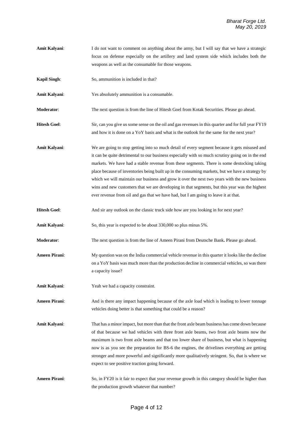- **Amit Kalyani:** I do not want to comment on anything about the army, but I will say that we have a strategic focus on defense especially on the artillery and land system side which includes both the weapons as well as the consumable for those weapons.
- **Kapil Singh:** So, ammunition is included in that?
- **Amit Kalyani**: Yes absolutely ammunition is a consumable.
- **Moderator:** The next question is from the line of Hitesh Goel from Kotak Securities. Please go ahead.
- **Hitesh Goel**: Sir, can you give us some sense on the oil and gas revenues in this quarter and for full year FY19 and how it is done on a YoY basis and what is the outlook for the same for the next year?
- **Amit Kalyani**: We are going to stop getting into so much detail of every segment because it gets misused and it can be quite detrimental to our business especially with so much scrutiny going on in the end markets. We have had a stable revenue from these segments. There is some destocking taking place because of inventories being built up in the consuming markets, but we have a strategy by which we will maintain our business and grow it over the next two years with the new business wins and new customers that we are developing in that segments, but this year was the highest ever revenue from oil and gas that we have had, but I am going to leave it at that.
- **Hitesh Goel:** And sir any outlook on the classic truck side how are you looking in for next year?
- Amit Kalyani: So, this year is expected to be about 330,000 so plus minus 5%.
- **Moderator**: The next question is from the line of Ameen Pirani from Deutsche Bank**.** Please go ahead.
- **Ameen Pirani**: My question was on the India commercial vehicle revenue in this quarter it looks like the decline on a YoY basis was much more than the production decline in commercial vehicles, so was there a capacity issue?
- **Amit Kalyani**: Yeah we had a capacity constraint.
- **Ameen Pirani:** And is there any impact happening because of the axle load which is leading to lower tonnage vehicles doing better is that something that could be a reason?
- **Amit Kalyani**: That has a minor impact, but more than that the front axle beam business has come down because of that because we had vehicles with three front axle beams, two front axle beams now the maximum is two front axle beams and that too lower share of business, but what is happening now is as you see the preparation for BS-6 the engines, the drivelines everything are getting stronger and more powerful and significantly more qualitatively stringent. So, that is where we expect to see positive traction going forward.
- **Ameen Pirani**: So, in FY20 is it fair to expect that your revenue growth in this category should be higher than the production growth whatever that number?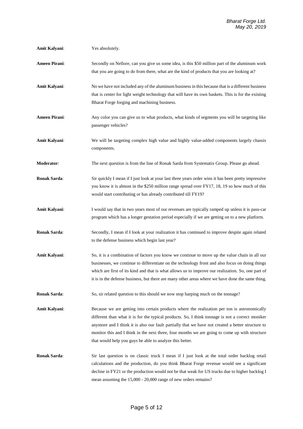- **Amit Kalyani**: Yes absolutely.
- **Ameen Pirani**: Secondly on Nellore, can you give us some idea, is this \$50 million part of the aluminum work that you are going to do from there, what are the kind of products that you are looking at?
- **Amit Kalyani**: No we have not included any of the aluminum business in this because that is a different business that is center for light weight technology that will have its own baskets. This is for the existing Bharat Forge forging and machining business.
- **Ameen Pirani:** Any color you can give us to what products, what kinds of segments you will be targeting like passenger vehicles?
- **Amit Kalyani**: We will be targeting complex high value and highly value-added components largely chassis components.
- **Moderator**: The next question is from the line of Ronak Sarda from Systematix Group. Please go ahead.
- **Ronak Sarda:** Sir quickly I mean if I just look at your last three years order wins it has been pretty impressive you know it is almost in the \$250 million range spread over FY17, 18, 19 so how much of this would start contributing or has already contributed till FY19?
- **Amit Kalyani**: I would say that in two years most of our revenues are typically ramped up unless it is pass-car program which has a longer gestation period especially if we are getting on to a new platform.
- **Ronak Sarda:** Secondly, I mean if I look at your realization it has continued to improve despite again related to the defense business which begin last year?
- **Amit Kalyani:** So, it is a combination of factors you know we continue to move up the value chain in all our businesses, we continue to differentiate on the technology front and also focus on doing things which are first of its kind and that is what allows us to improve our realization. So, one part of it is in the defense business, but there are many other areas where we have done the same thing.
- **Ronak Sarda:** So, sir related question to this should we now stop harping much on the tonnage?

**Amit Kalyani**: Because we are getting into certain products where the realization per ton is astronomically different than what it is for the typical products. So, I think tonnage is not a correct moniker anymore and I think it is also our fault partially that we have not created a better structure to monitor this and I think in the next three, four months we are going to come up with structure that would help you guys be able to analyze this better.

**Ronak Sarda**: Sir last question is on classic truck I mean if I just look at the total order backlog retail calculations and the production, do you think Bharat Forge revenue would see a significant decline in FY21 or the production would not be that weak for US trucks due to higher backlog I mean assuming the 15,000 - 20,000 range of new orders remains?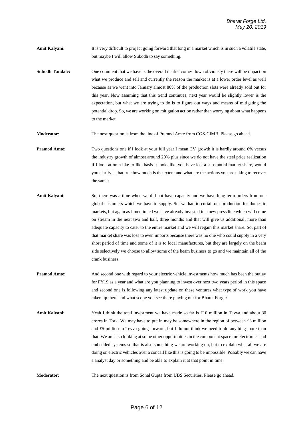- **Amit Kalyani:** It is very difficult to project going forward that long in a market which is in such a volatile state, but maybe I will allow Subodh to say something.
- **Subodh Tandale:** One comment that we have is the overall market comes down obviously there will be impact on what we produce and sell and currently the reason the market is at a lower order level as well because as we went into January almost 80% of the production slots were already sold out for this year. Now assuming that this trend continues, next year would be slightly lower is the expectation, but what we are trying to do is to figure out ways and means of mitigating the potential drop. So, we are working on mitigation action rather than worrying about what happens to the market.

**Moderator**: The next question is from the line of Pramod Amte from CGS-CIMB. Please go ahead.

**Pramod Amte:** Two questions one if I look at your full year I mean CV growth it is hardly around 6% versus the industry growth of almost around 20% plus since we do not have the steel price realization if I look at on a like-to-like basis it looks like you have lost a substantial market share, would you clarify is that true how much is the extent and what are the actions you are taking to recover the same?

- **Amit Kalyani**: So, there was a time when we did not have capacity and we have long term orders from our global customers which we have to supply. So, we had to curtail our production for domestic markets, but again as I mentioned we have already invested in a new press line which will come on stream in the next two and half, three months and that will give us additional, more than adequate capacity to cater to the entire market and we will regain this market share. So, part of that market share was loss to even imports because there was no one who could supply in a very short period of time and some of it is to local manufactures, but they are largely on the beam side selectively we choose to allow some of the beam business to go and we maintain all of the crank business.
- **Pramod Amte:** And second one with regard to your electric vehicle investments how much has been the outlay for FY19 as a year and what are you planning to invest over next two years period in this space and second one is following any latest update on these ventures what type of work you have taken up there and what scope you see there playing out for Bharat Forge?
- **Amit Kalyani:** Yeah I think the total investment we have made so far is £10 million in Tevva and about 30 crores in Tork. We may have to put in may be somewhere in the region of between £3 million and £5 million in Tevva going forward, but I do not think we need to do anything more than that. We are also looking at some other opportunities in the component space for electronics and embedded systems so that is also something we are working on, but to explain what all we are doing on electric vehicles over a concall like this is going to be impossible. Possibly we can have a analyst day or something and be able to explain it at that point in time.

**Moderator:** The next question is from Sonal Gupta from UBS Securities. Please go ahead.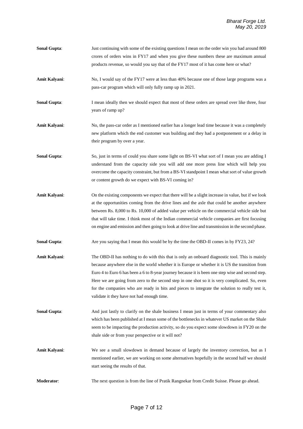- **Sonal Gupta:** Just continuing with some of the existing questions I mean on the order win you had around 800 crores of orders wins in FY17 and when you give these numbers these are maximum annual products revenue, so would you say that of the FY17 most of it has come here or what?
- Amit Kalyani: No, I would say of the FY17 were at less than 40% because one of those large programs was a pass-car program which will only fully ramp up in 2021.
- **Sonal Gupta:** I mean ideally then we should expect that most of these orders are spread over like three, four years of ramp up?
- **Amit Kalyani**: No, the pass-car order as I mentioned earlier has a longer lead time because it was a completely new platform which the end customer was building and they had a postponement or a delay in their program by over a year.
- **Sonal Gupta**: So, just in terms of could you share some light on BS-VI what sort of I mean you are adding I understand from the capacity side you will add one more press line which will help you overcome the capacity constraint, but from a BS-VI standpoint I mean what sort of value growth or content growth do we expect with BS-VI coming in?
- **Amit Kalyani**: On the existing components we expect that there will be a slight increase in value, but if we look at the opportunities coming from the drive lines and the axle that could be another anywhere between Rs. 8,000 to Rs. 10,000 of added value per vehicle on the commercial vehicle side but that will take time. I think most of the Indian commercial vehicle companies are first focusing on engine and emission and then going to look at drive line and transmission in the second phase.
- **Sonal Gupta:** Are you saying that I mean this would be by the time the OBD-II comes in by FY23, 24?
- **Amit Kalyani**: The OBD-II has nothing to do with this that is only an onboard diagnostic tool. This is mainly because anywhere else in the world whether it is Europe or whether it is US the transition from Euro 4 to Euro 6 has been a 6 to 8-year journey because it is been one step wise and second step. Here we are going from zero to the second step in one shot so it is very complicated. So, even for the companies who are ready in bits and pieces to integrate the solution to really test it, validate it they have not had enough time.
- **Sonal Gupta**: And just lastly to clarify on the shale business I mean just in terms of your commentary also which has been published at I mean some of the bottlenecks in whatever US market on the Shale seem to be impacting the production activity, so do you expect some slowdown in FY20 on the shale side or from your perspective or it will not?
- **Amit Kalyani**: We see a small slowdown in demand because of largely the inventory correction, but as I mentioned earlier, we are working on some alternatives hopefully in the second half we should start seeing the results of that.
- **Moderator**: The next question is from the line of Pratik Rangnekar from Credit Suisse. Please go ahead.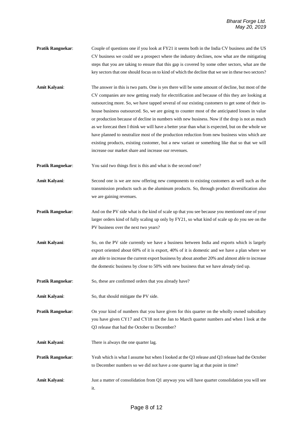- **Pratik Rangnekar:** Couple of questions one if you look at FY21 it seems both in the India CV business and the US CV business we could see a prospect where the industry declines, now what are the mitigating steps that you are taking to ensure that this gap is covered by some other sectors, what are the key sectors that one should focus on to kind of which the decline that we see in these two sectors?
- **Amit Kalyani**: The answer in this is two parts. One is yes there will be some amount of decline, but most of the CV companies are now getting ready for electrification and because of this they are looking at outsourcing more. So, we have tapped several of our existing customers to get some of their inhouse business outsourced. So, we are going to counter most of the anticipated losses in value or production because of decline in numbers with new business. Now if the drop is not as much as we forecast then I think we will have a better year than what is expected, but on the whole we have planned to neutralize most of the production reduction from new business wins which are existing products, existing customer, but a new variant or something like that so that we will increase our market share and increase our revenues.
- **Pratik Rangnekar:** You said two things first is this and what is the second one?
- **Amit Kalyani**: Second one is we are now offering new components to existing customers as well such as the transmission products such as the aluminum products. So, through product diversification also we are gaining revenues.
- **Pratik Rangnekar:** And on the PV side what is the kind of scale up that you see because you mentioned one of your larger orders kind of fully scaling up only by FY21, so what kind of scale up do you see on the PV business over the next two years?
- **Amit Kalyani**: So, on the PV side currently we have a business between India and exports which is largely export oriented about 60% of it is export, 40% of it is domestic and we have a plan where we are able to increase the current export business by about another 20% and almost able to increase the domestic business by close to 50% with new business that we have already tied up.
- **Pratik Rangnekar:** So, these are confirmed orders that you already have?
- **Amit Kalyani**: So, that should mitigate the PV side.
- **Pratik Rangnekar:** On your kind of numbers that you have given for this quarter on the wholly owned subsidiary you have given CY17 and CY18 not the Jan to March quarter numbers and when I look at the Q3 release that had the October to December?
- **Amit Kalyani**: There is always the one quarter lag.
- **Pratik Rangnekar:** Yeah which is what I assume but when I looked at the Q3 release and Q3 release had the October to December numbers so we did not have a one quarter lag at that point in time?
- **Amit Kalyani**: Just a matter of consolidation from Q1 anyway you will have quarter consolidation you will see it.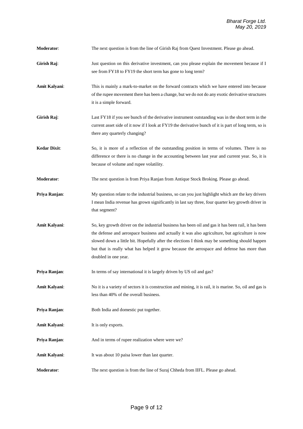- **Moderator:** The next question is from the line of Girish Raj from Quest Investment. Please go ahead.
- Girish Raj: Just question on this derivative investment, can you please explain the movement because if I see from FY18 to FY19 the short term has gone to long term?
- **Amit Kalyani**: This is mainly a mark-to-market on the forward contracts which we have entered into because of the rupee movement there has been a change, but we do not do any exotic derivative structures it is a simple forward.
- **Girish Raj:** Last FY18 if you see bunch of the derivative instrument outstanding was in the short term in the current asset side of it now if I look at FY19 the derivative bunch of it is part of long term, so is there any quarterly changing?
- **Kedar Dixit:** So, it is more of a reflection of the outstanding position in terms of volumes. There is no difference or there is no change in the accounting between last year and current year. So, it is because of volume and rupee volatility.
- **Moderator**: The next question is from Priya Ranjan from Antique Stock Broking. Please go ahead.
- **Priya Ranjan:** My question relate to the industrial business, so can you just highlight which are the key drivers I mean India revenue has grown significantly in last say three, four quarter key growth driver in that segment?
- Amit Kalyani: So, key growth driver on the industrial business has been oil and gas it has been rail, it has been the defense and aerospace business and actually it was also agriculture, but agriculture is now slowed down a little bit. Hopefully after the elections I think may be something should happen but that is really what has helped it grow because the aerospace and defense has more than doubled in one year.
- **Priva Ranjan:** In terms of say international it is largely driven by US oil and gas?
- **Amit Kalyani**: No it is a variety of sectors it is construction and mining, it is rail, it is marine. So, oil and gas is less than 40% of the overall business.
- **Priya Ranjan**: Both India and domestic put together.
- **Amit Kalyani:** It is only exports.
- **Priya Ranjan:** And in terms of rupee realization where were we?
- **Amit Kalyani:** It was about 10 paisa lower than last quarter.
- **Moderator**: The next question is from the line of Suraj Chheda from IIFL. Please go ahead.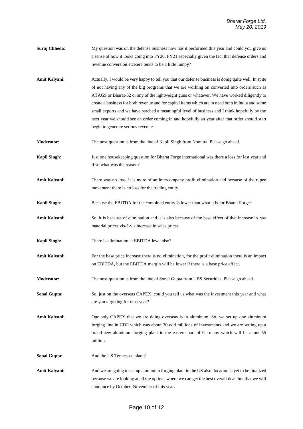- **Suraj Chheda**: My question was on the defense business how has it performed this year and could you give us a sense of how it looks going into FY20, FY21 especially given the fact that defense orders and revenue conversion etcetera tends to be a little lumpy?
- **Amit Kalyani**: Actually, I would be very happy to tell you that our defense business is doing quite well. In spite of not having any of the big programs that we are working on converted into orders such as ATAGS or Bharat-52 or any of the lightweight guns or whatever. We have worked diligently to create a business for both revenue and for capital items which are in need both in India and some small exports and we have reached a meaningful level of business and I think hopefully by the next year we should see an order coming in and hopefully an year after that order should start begin to generate serious revenues.
- **Moderator**: The next question is from the line of Kapil Singh from Nomura. Please go ahead.
- **Kapil Singh**: Just one housekeeping question for Bharat Forge international was there a loss for last year and if so what was the reason?
- **Amit Kalyani**: There was no loss, it is more of an intercompany profit elimination and because of the rupee movement there is no loss for the trading entity.
- **Kapil Singh:** Because the EBITDA for the combined entity is lower than what it is for Bharat Forge?
- **Amit Kalyani:** So, it is because of elimination and it is also because of the base effect of that increase in raw material prices vis-à-vis increase in sales prices.
- **Kapil Singh:** There is elimination at EBITDA level also?
- **Amit Kalyani:** For the base price increase there is no elimination, for the profit elimination there is an impact on EBITDA, but the EBITDA margin will be lower if there is a base price effect.
- **Moderator:** The next question is from the line of Sonal Gupta from UBS Securities. Please go ahead.
- **Sonal Gupta:** So, just on the overseas CAPEX, could you tell us what was the investment this year and what are you targeting for next year?
- Amit Kalyani: Our only CAPEX that we are doing overseas is in aluminum. So, we set up one aluminum forging line in CDP which was about 30 odd millions of investments and we are setting up a brand-new aluminum forging plant in the eastern part of Germany which will be about 55 million.
- **Sonal Gupta:** And the US Tennessee plant?
- **Amit Kalyani:** And we are going to set up aluminum forging plant in the US also, location is yet to be finalized because we are looking at all the options where we can get the best overall deal, but that we will announce by October, November of this year.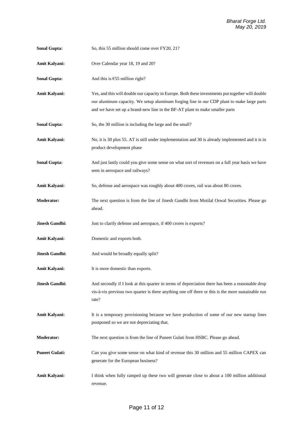- **Sonal Gupta:** So, this 55 million should come over FY20, 21?
- **Amit Kalyani:** Over Calendar year 18, 19 and 20?
- Sonal Gupta: And this is €55 million right?
- **Amit Kalyani:** Yes, and this will double our capacity in Europe. Both these investments put together will double our aluminum capacity. We setup aluminum forging line in our CDP plant to make large parts and we have set up a brand-new line in the BF-AT plant to make smaller parts
- **Sonal Gupta:** So, the 30 million is including the large and the small?
- **Amit Kalyani:** No, it is 30 plus 55. AT is still under implementation and 30 is already implemented and it is in product development phase
- **Sonal Gupta:** And just lastly could you give some sense on what sort of revenues on a full year basis we have seen in aerospace and railways?
- **Amit Kalyani:** So, defense and aerospace was roughly about 400 crores, rail was about 80 crores.
- **Moderator:** The next question is from the line of Jinesh Gandhi from Motilal Oswal Securities. Please go ahead.
- **Jinesh Gandhi:** Just to clarify defense and aerospace, if 400 crores is exports?
- **Amit Kalyani:** Domestic and exports both.
- **Jinesh Gandhi:** And would be broadly equally split?
- Amit Kalyani: It is more domestic than exports.
- **Jinesh Gandhi:** And secondly if I look at this quarter in terms of depreciation there has been a reasonable drop vis-à-vis previous two quarter is there anything one off there or this is the more sustainable run rate?
- Amit Kalyani: It is a temporary provisioning because we have production of some of our new startup lines postponed so we are not depreciating that.
- **Moderator:** The next question is from the line of Puneet Gulati from HSBC. Please go ahead.
- **Puneet Gulati:** Can you give some sense on what kind of revenue this 30 million and 55 million CAPEX can generate for the European business?
- **Amit Kalyani:** I think when fully ramped up these two will generate close to about a 100 million additional revenue.